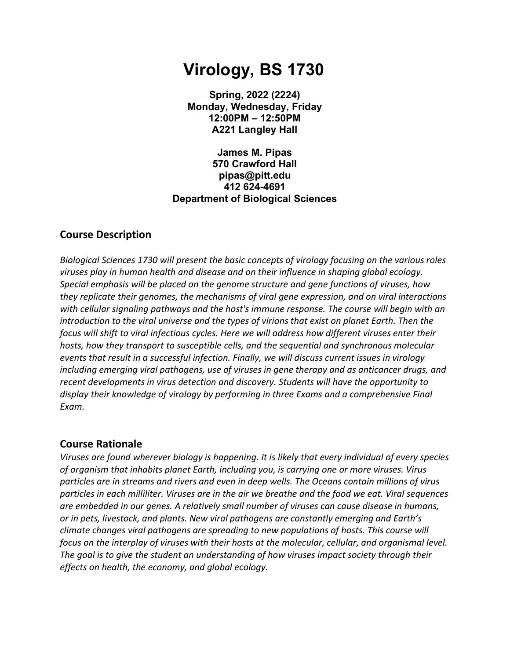# **Virology, BS 1730**

**Spring, 2022 (2224) Monday, Wednesday, Friday 12:00PM – 12:50PM A221 Langley Hall**

**James M. Pipas 570 Crawford Hall pipas@pitt.edu 412 624-4691 Department of Biological Sciences**

## **Course Description**

*Biological Sciences 1730 will present the basic concepts of virology focusing on the various roles viruses play in human health and disease and on their influence in shaping global ecology. Special emphasis will be placed on the genome structure and gene functions of viruses, how they replicate their genomes, the mechanisms of viral gene expression, and on viral interactions with cellular signaling pathways and the host's immune response. The course will begin with an introduction to the viral universe and the types of virions that exist on planet Earth. Then the focus will shift to viral infectious cycles. Here we will address how different viruses enter their hosts, how they transport to susceptible cells, and the sequential and synchronous molecular events that result in a successful infection. Finally, we will discuss current issues in virology including emerging viral pathogens, use of viruses in gene therapy and as anticancer drugs, and recent developments in virus detection and discovery. Students will have the opportunity to display their knowledge of virology by performing in three Exams and a comprehensive Final Exam.* 

#### **Course Rationale**

*Viruses are found wherever biology is happening. It is likely that every individual of every species of organism that inhabits planet Earth, including you, is carrying one or more viruses. Virus particles are in streams and rivers and even in deep wells. The Oceans contain millions of virus particles in each milliliter. Viruses are in the air we breathe and the food we eat. Viral sequences are embedded in our genes. A relatively small number of viruses can cause disease in humans, or in pets, livestock, and plants. New viral pathogens are constantly emerging and Earth's climate changes viral pathogens are spreading to new populations of hosts. This course will focus on the interplay of viruses with their hosts at the molecular, cellular, and organismal level. The goal is to give the student an understanding of how viruses impact society through their effects on health, the economy, and global ecology.*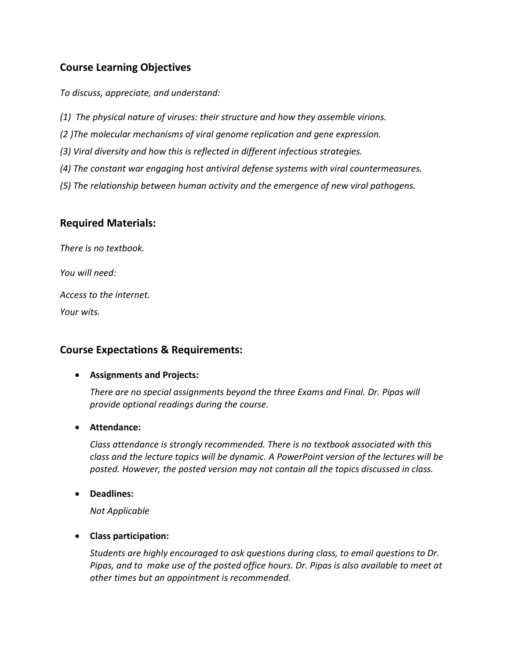# **Course Learning Objectives**

*To discuss, appreciate, and understand:*

- *(1) The physical nature of viruses: their structure and how they assemble virions.*
- *(2 )The molecular mechanisms of viral genome replication and gene expression.*
- *(3) Viral diversity and how this is reflected in different infectious strategies.*
- *(4) The constant war engaging host antiviral defense systems with viral countermeasures.*
- *(5) The relationship between human activity and the emergence of new viral pathogens.*

## **Required Materials:**

*There is no textbook.* 

*You will need:*

*Access to the internet.* 

*Your wits.* 

## **Course Expectations & Requirements:**

#### • **Assignments and Projects:**

*There are no special assignments beyond the three Exams and Final. Dr. Pipas will provide optional readings during the course.* 

#### • **Attendance:**

*Class attendance is strongly recommended. There is no textbook associated with this class and the lecture topics will be dynamic. A PowerPoint version of the lectures will be posted. However, the posted version may not contain all the topics discussed in class.* 

• **Deadlines:**

*Not Applicable*

#### • **Class participation:**

*Students are highly encouraged to ask questions during class, to email questions to Dr. Pipas, and to make use of the posted office hours. Dr. Pipas is also available to meet at other times but an appointment is recommended.*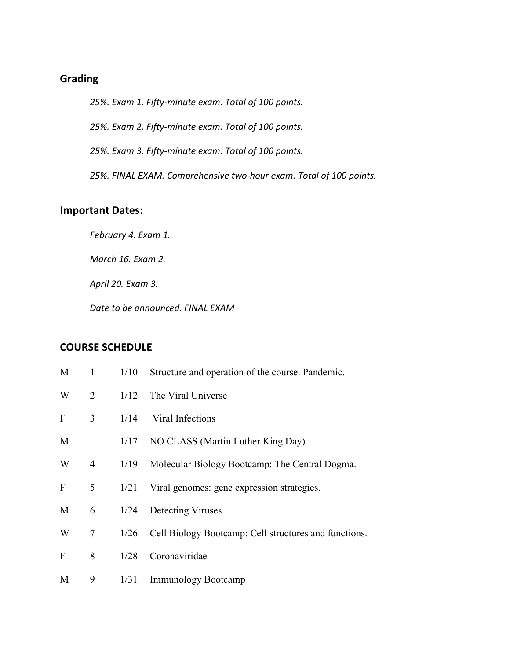## **Grading**

*25%. Exam 1. Fifty-minute exam. Total of 100 points.* 

*25%. Exam 2. Fifty-minute exam. Total of 100 points.* 

*25%. Exam 3. Fifty-minute exam. Total of 100 points.* 

*25%. FINAL EXAM. Comprehensive two-hour exam. Total of 100 points.* 

#### **Important Dates:**

*February 4. Exam 1.* 

*March 16. Exam 2.*

*April 20. Exam 3.* 

*Date to be announced. FINAL EXAM*

## **COURSE SCHEDULE**

| M            | $\mathbf{1}$ | 1/10 | Structure and operation of the course. Pandemic.      |  |
|--------------|--------------|------|-------------------------------------------------------|--|
| W            | 2            | 1/12 | The Viral Universe                                    |  |
| $\mathbf{F}$ | 3            | 1/14 | Viral Infections                                      |  |
| M            |              |      | 1/17 NO CLASS (Martin Luther King Day)                |  |
| W            | 4            | 1/19 | Molecular Biology Bootcamp: The Central Dogma.        |  |
| $\mathbf{F}$ | 5            | 1/21 | Viral genomes: gene expression strategies.            |  |
| M            | 6            | 1/24 | Detecting Viruses                                     |  |
| W            | $\tau$       | 1/26 | Cell Biology Bootcamp: Cell structures and functions. |  |
| F            | 8            | 1/28 | Coronaviridae                                         |  |
| M            | 9            | 1/31 | <b>Immunology Bootcamp</b>                            |  |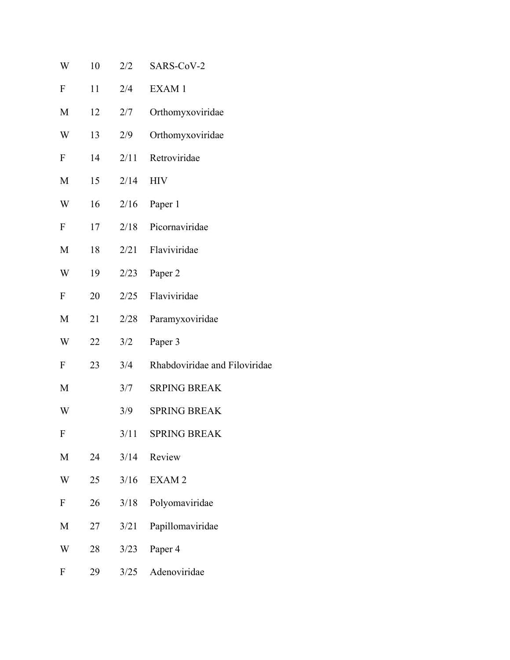| W                | 10 | 2/2  | SARS-CoV-2                    |
|------------------|----|------|-------------------------------|
| ${\bf F}$        | 11 | 2/4  | EXAM 1                        |
| M                | 12 | 2/7  | Orthomyxoviridae              |
| W                | 13 | 2/9  | Orthomyxoviridae              |
| ${\bf F}$        | 14 | 2/11 | Retroviridae                  |
| M                | 15 | 2/14 | <b>HIV</b>                    |
| W                | 16 | 2/16 | Paper 1                       |
| ${\bf F}$        | 17 | 2/18 | Picornaviridae                |
| M                | 18 | 2/21 | Flaviviridae                  |
| W                | 19 | 2/23 | Paper 2                       |
| $\mathbf{F}$     | 20 | 2/25 | Flaviviridae                  |
| M                | 21 | 2/28 | Paramyxoviridae               |
| W                | 22 | 3/2  | Paper 3                       |
| $\mathbf{F}$     | 23 | 3/4  | Rhabdoviridae and Filoviridae |
| M                |    | 3/7  | <b>SRPING BREAK</b>           |
| W                |    | 3/9  | <b>SPRING BREAK</b>           |
| F                |    | 3/11 | <b>SPRING BREAK</b>           |
| M                | 24 | 3/14 | Review                        |
| W                | 25 | 3/16 | EXAM <sub>2</sub>             |
| $\boldsymbol{F}$ | 26 | 3/18 | Polyomaviridae                |
| M                | 27 | 3/21 | Papillomaviridae              |
| W                | 28 | 3/23 | Paper 4                       |
| ${\bf F}$        | 29 | 3/25 | Adenoviridae                  |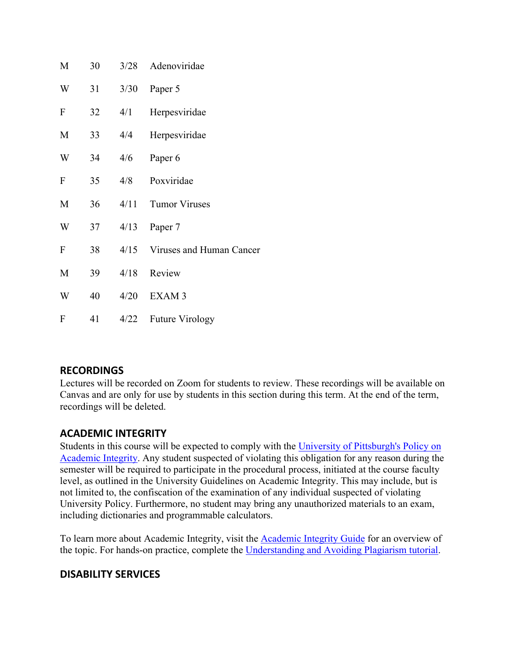| M            | 30 | 3/28 | Adenoviridae                  |
|--------------|----|------|-------------------------------|
| W            | 31 | 3/30 | Paper 5                       |
| $\mathbf{F}$ | 32 | 4/1  | Herpesviridae                 |
| M            | 33 | 4/4  | Herpesviridae                 |
| W            | 34 | 4/6  | Paper <sub>6</sub>            |
| $\mathbf{F}$ | 35 | 4/8  | Poxviridae                    |
| M            | 36 | 4/11 | <b>Tumor Viruses</b>          |
| W            | 37 | 4/13 | Paper 7                       |
| $\mathbf{F}$ | 38 |      | 4/15 Viruses and Human Cancer |
| M            | 39 | 4/18 | Review                        |
| W            | 40 | 4/20 | EXAM <sub>3</sub>             |
| $\mathbf{F}$ | 41 | 4/22 | <b>Future Virology</b>        |

## **RECORDINGS**

Lectures will be recorded on Zoom for students to review. These recordings will be available on Canvas and are only for use by students in this section during this term. At the end of the term, recordings will be deleted.

## **ACADEMIC INTEGRITY**

Students in this course will be expected to comply with the [University of Pittsburgh's Policy on](http://www.cfo.pitt.edu/policies/policy/02/02-03-02.html)  [Academic Integrity.](http://www.cfo.pitt.edu/policies/policy/02/02-03-02.html) Any student suspected of violating this obligation for any reason during the semester will be required to participate in the procedural process, initiated at the course faculty level, as outlined in the University Guidelines on Academic Integrity. This may include, but is not limited to, the confiscation of the examination of any individual suspected of violating University Policy. Furthermore, no student may bring any unauthorized materials to an exam, including dictionaries and programmable calculators.

To learn more about Academic Integrity, visit the [Academic Integrity Guide](http://pitt.libguides.com/academicintegrity/) for an overview of the topic. For hands-on practice, complete the [Understanding and Avoiding Plagiarism tutorial.](https://bts.library.pitt.edu/eLearning/Captivate/Understanding_Avoiding_Plagiarism/multiscreen.html)

## **DISABILITY SERVICES**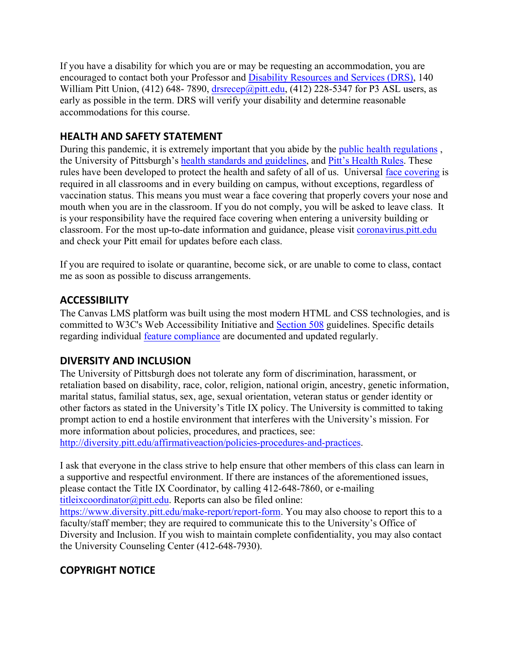If you have a disability for which you are or may be requesting an accommodation, you are encouraged to contact both your Professor and [Disability Resources and Services \(DRS\),](https://www.studentaffairs.pitt.edu/drs/) 140 William Pitt Union, (412) 648-7890, [drsrecep@pitt.edu,](mailto:drsrecep@pitt.edu) (412) 228-5347 for P3 ASL users, as early as possible in the term. DRS will verify your disability and determine reasonable accommodations for this course.

## **HEALTH AND SAFETY STATEMENT**

During this pandemic, it is extremely important that you abide by the [public health regulations](https://www.alleghenycounty.us/Health-Department/Resources/COVID-19/COVID-19.aspx) , the University of Pittsburgh's [health standards and guidelines,](https://www.policy.pitt.edu/university-policies-and-procedures/covid-19-standards-and-guidelines) and [Pitt's Health Rules.](https://www.coronavirus.pitt.edu/healthy-community/pitts-health-rules) These rules have been developed to protect the health and safety of all of us. Universal [face covering](https://www.coronavirus.pitt.edu/frequently-asked-questions-about-face-coverings) is required in all classrooms and in every building on campus, without exceptions, regardless of vaccination status. This means you must wear a face covering that properly covers your nose and mouth when you are in the classroom. If you do not comply, you will be asked to leave class. It is your responsibility have the required face covering when entering a university building or classroom. For the most up-to-date information and guidance, please visit [coronavirus.pitt.edu](http://coronavirus.pitt.edu/) and check your Pitt email for updates before each class.

If you are required to isolate or quarantine, become sick, or are unable to come to class, contact me as soon as possible to discuss arrangements.

## **ACCESSIBILITY**

The Canvas LMS platform was built using the most modern HTML and CSS technologies, and is committed to W3C's Web Accessibility Initiative and [Section 508](https://www.section508.gov/) guidelines. Specific details regarding individual feature [compliance](https://community.canvaslms.com/docs/DOC-2061-accessibility-within-canvas) are documented and updated regularly.

## **DIVERSITY AND INCLUSION**

The University of Pittsburgh does not tolerate any form of discrimination, harassment, or retaliation based on disability, race, color, religion, national origin, ancestry, genetic information, marital status, familial status, sex, age, sexual orientation, veteran status or gender identity or other factors as stated in the University's Title IX policy. The University is committed to taking prompt action to end a hostile environment that interferes with the University's mission. For more information about policies, procedures, and practices, see: [http://diversity.pitt.edu/affirmativeaction/policies-procedures-and-practices.](http://diversity.pitt.edu/affirmativeaction/policies-procedures-and-practices)

I ask that everyone in the class strive to help ensure that other members of this class can learn in a supportive and respectful environment. If there are instances of the aforementioned issues, please contact the Title IX Coordinator, by calling 412-648-7860, or e-mailing [titleixcoordinator@pitt.edu.](mailto:titleixcoordinator@pitt.edu) Reports can also be filed online:

[https://www.diversity.pitt.edu/make-report/report-form.](https://www.diversity.pitt.edu/make-report/report-form) You may also choose to report this to a faculty/staff member; they are required to communicate this to the University's Office of Diversity and Inclusion. If you wish to maintain complete confidentiality, you may also contact the University Counseling Center (412-648-7930).

## **COPYRIGHT NOTICE**